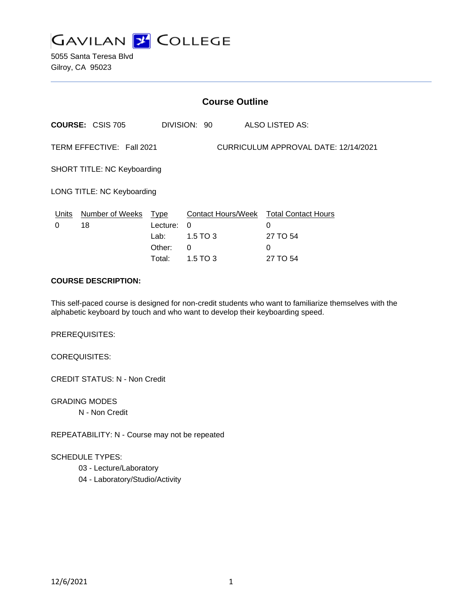

5055 Santa Teresa Blvd Gilroy, CA 95023

|                                                                   | <b>Course Outline</b>              |                                         |                                       |                                                                          |  |
|-------------------------------------------------------------------|------------------------------------|-----------------------------------------|---------------------------------------|--------------------------------------------------------------------------|--|
|                                                                   | <b>COURSE: CSIS 705</b>            |                                         | DIVISION: 90                          | <b>ALSO LISTED AS:</b>                                                   |  |
| TERM EFFECTIVE: Fall 2021<br>CURRICULUM APPROVAL DATE: 12/14/2021 |                                    |                                         |                                       |                                                                          |  |
|                                                                   | <b>SHORT TITLE: NC Keyboarding</b> |                                         |                                       |                                                                          |  |
|                                                                   | LONG TITLE: NC Keyboarding         |                                         |                                       |                                                                          |  |
| 0                                                                 | Units Number of Weeks Type<br>18   | Lecture:<br>Lab: La<br>Other:<br>Total: | $\Omega$<br>1.5 TO 3<br>0<br>1.5 TO 3 | Contact Hours/Week Total Contact Hours<br>0<br>27 TO 54<br>0<br>27 TO 54 |  |

#### **COURSE DESCRIPTION:**

This self-paced course is designed for non-credit students who want to familiarize themselves with the alphabetic keyboard by touch and who want to develop their keyboarding speed.

PREREQUISITES:

COREQUISITES:

CREDIT STATUS: N - Non Credit

GRADING MODES N - Non Credit

REPEATABILITY: N - Course may not be repeated

## SCHEDULE TYPES:

- 03 Lecture/Laboratory
- 04 Laboratory/Studio/Activity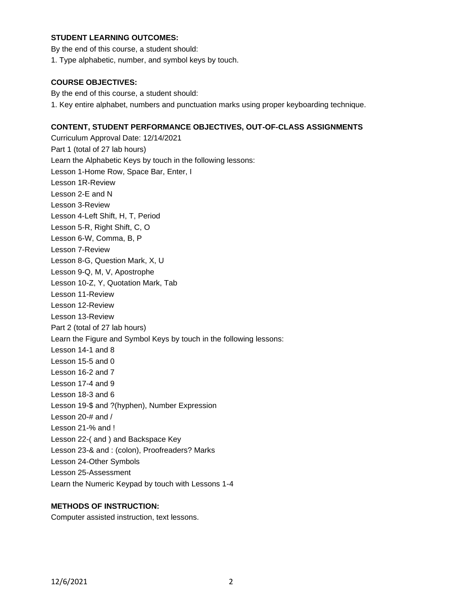## **STUDENT LEARNING OUTCOMES:**

By the end of this course, a student should:

1. Type alphabetic, number, and symbol keys by touch.

#### **COURSE OBJECTIVES:**

By the end of this course, a student should:

1. Key entire alphabet, numbers and punctuation marks using proper keyboarding technique.

## **CONTENT, STUDENT PERFORMANCE OBJECTIVES, OUT-OF-CLASS ASSIGNMENTS**

Curriculum Approval Date: 12/14/2021 Part 1 (total of 27 lab hours) Learn the Alphabetic Keys by touch in the following lessons: Lesson 1-Home Row, Space Bar, Enter, I Lesson 1R-Review Lesson 2-E and N Lesson 3-Review Lesson 4-Left Shift, H, T, Period Lesson 5-R, Right Shift, C, O Lesson 6-W, Comma, B, P Lesson 7-Review Lesson 8-G, Question Mark, X, U Lesson 9-Q, M, V, Apostrophe Lesson 10-Z, Y, Quotation Mark, Tab Lesson 11-Review Lesson 12-Review Lesson 13-Review Part 2 (total of 27 lab hours) Learn the Figure and Symbol Keys by touch in the following lessons: Lesson 14-1 and 8 Lesson 15-5 and 0 Lesson 16-2 and 7 Lesson 17-4 and 9 Lesson 18-3 and 6 Lesson 19-\$ and ?(hyphen), Number Expression Lesson 20-# and / Lesson 21-% and ! Lesson 22-( and ) and Backspace Key Lesson 23-& and : (colon), Proofreaders? Marks Lesson 24-Other Symbols Lesson 25-Assessment Learn the Numeric Keypad by touch with Lessons 1-4

## **METHODS OF INSTRUCTION:**

Computer assisted instruction, text lessons.